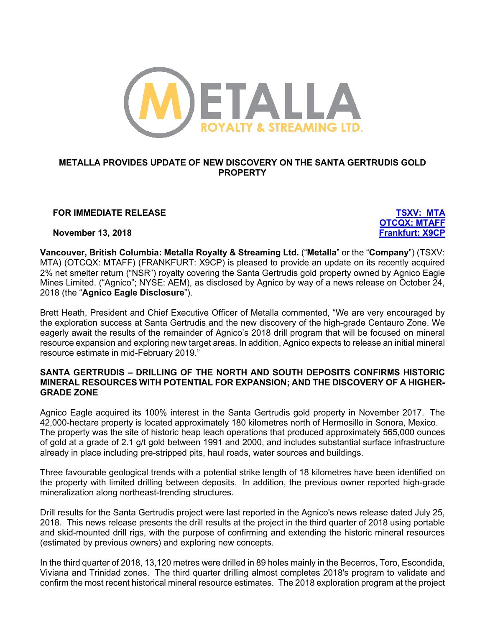

# **METALLA PROVIDES UPDATE OF NEW DISCOVERY ON THE SANTA GERTRUDIS GOLD PROPERTY**

## **FOR IMMEDIATE RELEASE TSXV: MTA**

**November 13, 2018 Frankfurt: X9CP**

**OTCQX: MTAFF**

**Vancouver, British Columbia: Metalla Royalty & Streaming Ltd.** ("**Metalla**" or the "**Company**") (TSXV: MTA) (OTCQX: MTAFF) (FRANKFURT: X9CP) is pleased to provide an update on its recently acquired 2% net smelter return ("NSR") royalty covering the Santa Gertrudis gold property owned by Agnico Eagle Mines Limited. ("Agnico"; NYSE: AEM), as disclosed by Agnico by way of a news release on October 24, 2018 (the "**Agnico Eagle Disclosure**").

Brett Heath, President and Chief Executive Officer of Metalla commented, "We are very encouraged by the exploration success at Santa Gertrudis and the new discovery of the high-grade Centauro Zone. We eagerly await the results of the remainder of Agnico's 2018 drill program that will be focused on mineral resource expansion and exploring new target areas. In addition, Agnico expects to release an initial mineral resource estimate in mid-February 2019."

#### **SANTA GERTRUDIS – DRILLING OF THE NORTH AND SOUTH DEPOSITS CONFIRMS HISTORIC MINERAL RESOURCES WITH POTENTIAL FOR EXPANSION; AND THE DISCOVERY OF A HIGHER-GRADE ZONE**

Agnico Eagle acquired its 100% interest in the Santa Gertrudis gold property in November 2017. The 42,000-hectare property is located approximately 180 kilometres north of Hermosillo in Sonora, Mexico. The property was the site of historic heap leach operations that produced approximately 565,000 ounces of gold at a grade of 2.1 g/t gold between 1991 and 2000, and includes substantial surface infrastructure already in place including pre-stripped pits, haul roads, water sources and buildings.

Three favourable geological trends with a potential strike length of 18 kilometres have been identified on the property with limited drilling between deposits. In addition, the previous owner reported high-grade mineralization along northeast-trending structures.

Drill results for the Santa Gertrudis project were last reported in the Agnico's news release dated July 25, 2018. This news release presents the drill results at the project in the third quarter of 2018 using portable and skid-mounted drill rigs, with the purpose of confirming and extending the historic mineral resources (estimated by previous owners) and exploring new concepts.

In the third quarter of 2018, 13,120 metres were drilled in 89 holes mainly in the Becerros, Toro, Escondida, Viviana and Trinidad zones. The third quarter drilling almost completes 2018's program to validate and confirm the most recent historical mineral resource estimates. The 2018 exploration program at the project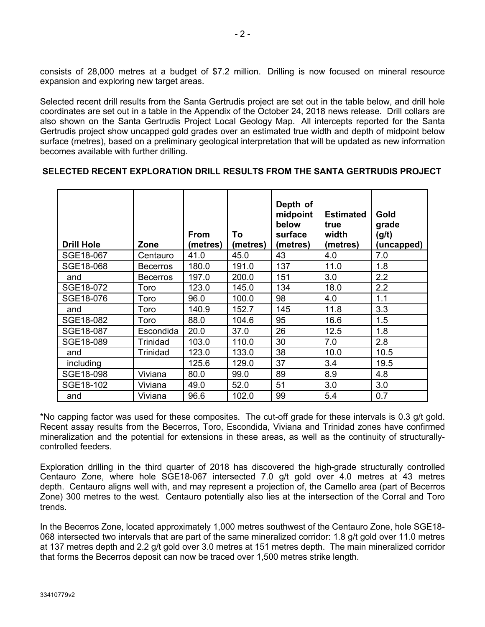consists of 28,000 metres at a budget of \$7.2 million. Drilling is now focused on mineral resource expansion and exploring new target areas.

Selected recent drill results from the Santa Gertrudis project are set out in the table below, and drill hole coordinates are set out in a table in the Appendix of the October 24, 2018 news release. Drill collars are also shown on the Santa Gertrudis Project Local Geology Map. All intercepts reported for the Santa Gertrudis project show uncapped gold grades over an estimated true width and depth of midpoint below surface (metres), based on a preliminary geological interpretation that will be updated as new information becomes available with further drilling.

#### **SELECTED RECENT EXPLORATION DRILL RESULTS FROM THE SANTA GERTRUDIS PROJECT**

| <b>Drill Hole</b> | Zone            | <b>From</b><br>(metres) | To<br>(metres) | Depth of<br>midpoint<br>below<br>surface<br>(metres) | <b>Estimated</b><br>true<br>width<br>(metres) | Gold<br>grade<br>(g/t)<br>(uncapped) |
|-------------------|-----------------|-------------------------|----------------|------------------------------------------------------|-----------------------------------------------|--------------------------------------|
| SGE18-067         | Centauro        | 41.0                    | 45.0           | 43                                                   | 4.0                                           | 7.0                                  |
| SGE18-068         | <b>Becerros</b> | 180.0                   | 191.0          | 137                                                  | 11.0                                          | 1.8                                  |
| and               | <b>Becerros</b> | 197.0                   | 200.0          | 151                                                  | 3.0                                           | 2.2                                  |
| SGE18-072         | Toro            | 123.0                   | 145.0          | 134                                                  | 18.0                                          | 2.2                                  |
| SGE18-076         | Toro            | 96.0                    | 100.0          | 98                                                   | 4.0                                           | 1.1                                  |
| and               | Toro            | 140.9                   | 152.7          | 145                                                  | 11.8                                          | 3.3                                  |
| SGE18-082         | Toro            | 88.0                    | 104.6          | 95                                                   | 16.6                                          | 1.5                                  |
| SGE18-087         | Escondida       | 20.0                    | 37.0           | 26                                                   | 12.5                                          | 1.8                                  |
| SGE18-089         | <b>Trinidad</b> | 103.0                   | 110.0          | 30                                                   | 7.0                                           | 2.8                                  |
| and               | Trinidad        | 123.0                   | 133.0          | 38                                                   | 10.0                                          | 10.5                                 |
| including         |                 | 125.6                   | 129.0          | 37                                                   | 3.4                                           | 19.5                                 |
| SGE18-098         | Viviana         | 80.0                    | 99.0           | 89                                                   | 8.9                                           | 4.8                                  |
| SGE18-102         | Viviana         | 49.0                    | 52.0           | 51                                                   | 3.0                                           | 3.0                                  |
| and               | Viviana         | 96.6                    | 102.0          | 99                                                   | 5.4                                           | 0.7                                  |

\*No capping factor was used for these composites. The cut-off grade for these intervals is 0.3 g/t gold. Recent assay results from the Becerros, Toro, Escondida, Viviana and Trinidad zones have confirmed mineralization and the potential for extensions in these areas, as well as the continuity of structurallycontrolled feeders.

Exploration drilling in the third quarter of 2018 has discovered the high-grade structurally controlled Centauro Zone, where hole SGE18-067 intersected 7.0 g/t gold over 4.0 metres at 43 metres depth. Centauro aligns well with, and may represent a projection of, the Camello area (part of Becerros Zone) 300 metres to the west. Centauro potentially also lies at the intersection of the Corral and Toro trends.

In the Becerros Zone, located approximately 1,000 metres southwest of the Centauro Zone, hole SGE18- 068 intersected two intervals that are part of the same mineralized corridor: 1.8 g/t gold over 11.0 metres at 137 metres depth and 2.2 g/t gold over 3.0 metres at 151 metres depth. The main mineralized corridor that forms the Becerros deposit can now be traced over 1,500 metres strike length.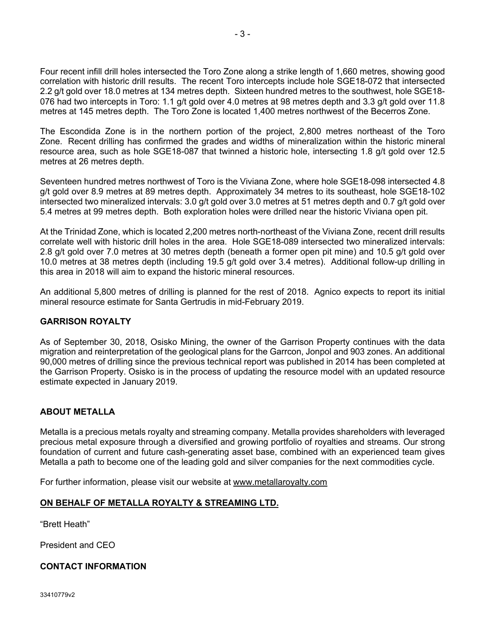Four recent infill drill holes intersected the Toro Zone along a strike length of 1,660 metres, showing good correlation with historic drill results. The recent Toro intercepts include hole SGE18-072 that intersected 2.2 g/t gold over 18.0 metres at 134 metres depth. Sixteen hundred metres to the southwest, hole SGE18- 076 had two intercepts in Toro: 1.1 g/t gold over 4.0 metres at 98 metres depth and 3.3 g/t gold over 11.8 metres at 145 metres depth. The Toro Zone is located 1,400 metres northwest of the Becerros Zone.

The Escondida Zone is in the northern portion of the project, 2,800 metres northeast of the Toro Zone. Recent drilling has confirmed the grades and widths of mineralization within the historic mineral resource area, such as hole SGE18-087 that twinned a historic hole, intersecting 1.8 g/t gold over 12.5 metres at 26 metres depth.

Seventeen hundred metres northwest of Toro is the Viviana Zone, where hole SGE18-098 intersected 4.8 g/t gold over 8.9 metres at 89 metres depth. Approximately 34 metres to its southeast, hole SGE18-102 intersected two mineralized intervals: 3.0 g/t gold over 3.0 metres at 51 metres depth and 0.7 g/t gold over 5.4 metres at 99 metres depth. Both exploration holes were drilled near the historic Viviana open pit.

At the Trinidad Zone, which is located 2,200 metres north-northeast of the Viviana Zone, recent drill results correlate well with historic drill holes in the area. Hole SGE18-089 intersected two mineralized intervals: 2.8 g/t gold over 7.0 metres at 30 metres depth (beneath a former open pit mine) and 10.5 g/t gold over 10.0 metres at 38 metres depth (including 19.5 g/t gold over 3.4 metres). Additional follow-up drilling in this area in 2018 will aim to expand the historic mineral resources.

An additional 5,800 metres of drilling is planned for the rest of 2018. Agnico expects to report its initial mineral resource estimate for Santa Gertrudis in mid-February 2019.

## **GARRISON ROYALTY**

As of September 30, 2018, Osisko Mining, the owner of the Garrison Property continues with the data migration and reinterpretation of the geological plans for the Garrcon, Jonpol and 903 zones. An additional 90,000 metres of drilling since the previous technical report was published in 2014 has been completed at the Garrison Property. Osisko is in the process of updating the resource model with an updated resource estimate expected in January 2019.

## **ABOUT METALLA**

Metalla is a precious metals royalty and streaming company. Metalla provides shareholders with leveraged precious metal exposure through a diversified and growing portfolio of royalties and streams. Our strong foundation of current and future cash-generating asset base, combined with an experienced team gives Metalla a path to become one of the leading gold and silver companies for the next commodities cycle.

For further information, please visit our website at www.metallaroyalty.com

## **ON BEHALF OF METALLA ROYALTY & STREAMING LTD.**

"Brett Heath"

President and CEO

## **CONTACT INFORMATION**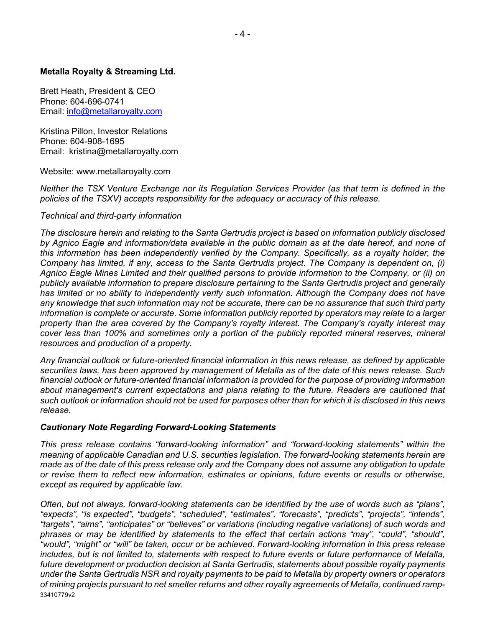#### **Metalla Royalty & Streaming Ltd.**

Brett Heath, President & CEO Phone: 604-696-0741 Email: info@metallaroyalty.com

Kristina Pillon, Investor Relations Phone: 604-908-1695 Email: kristina@metallaroyalty.com

Website: www.metallaroyalty.com

*Neither the TSX Venture Exchange nor its Regulation Services Provider (as that term is defined in the policies of the TSXV) accepts responsibility for the adequacy or accuracy of this release.*

#### *Technical and third-party information*

*The disclosure herein and relating to the Santa Gertrudis project is based on information publicly disclosed by Agnico Eagle and information/data available in the public domain as at the date hereof, and none of this information has been independently verified by the Company. Specifically, as a royalty holder, the Company has limited, if any, access to the Santa Gertrudis project. The Company is dependent on, (i) Agnico Eagle Mines Limited and their qualified persons to provide information to the Company, or (ii) on publicly available information to prepare disclosure pertaining to the Santa Gertrudis project and generally has limited or no ability to independently verify such information. Although the Company does not have any knowledge that such information may not be accurate, there can be no assurance that such third party information is complete or accurate. Some information publicly reported by operators may relate to a larger property than the area covered by the Company's royalty interest. The Company's royalty interest may cover less than 100% and sometimes only a portion of the publicly reported mineral reserves, mineral resources and production of a property.*

*Any financial outlook or future-oriented financial information in this news release, as defined by applicable securities laws, has been approved by management of Metalla as of the date of this news release. Such financial outlook or future-oriented financial information is provided for the purpose of providing information about management's current expectations and plans relating to the future. Readers are cautioned that such outlook or information should not be used for purposes other than for which it is disclosed in this news release.*

#### *Cautionary Note Regarding Forward-Looking Statements*

*This press release contains "forward-looking information" and "forward-looking statements" within the meaning of applicable Canadian and U.S. securities legislation. The forward-looking statements herein are made as of the date of this press release only and the Company does not assume any obligation to update or revise them to reflect new information, estimates or opinions, future events or results or otherwise, except as required by applicable law.* 

33410779v2 *Often, but not always, forward-looking statements can be identified by the use of words such as "plans", "expects", "is expected", "budgets", "scheduled", "estimates", "forecasts", "predicts", "projects", "intends", "targets", "aims", "anticipates" or "believes" or variations (including negative variations) of such words and phrases or may be identified by statements to the effect that certain actions "may", "could", "should", "would", "might" or "will" be taken, occur or be achieved. Forward-looking information in this press release includes, but is not limited to, statements with respect to future events or future performance of Metalla, future development or production decision at Santa Gertrudis, statements about possible royalty payments under the Santa Gertrudis NSR and royalty payments to be paid to Metalla by property owners or operators of mining projects pursuant to net smelter returns and other royalty agreements of Metalla, continued ramp-*